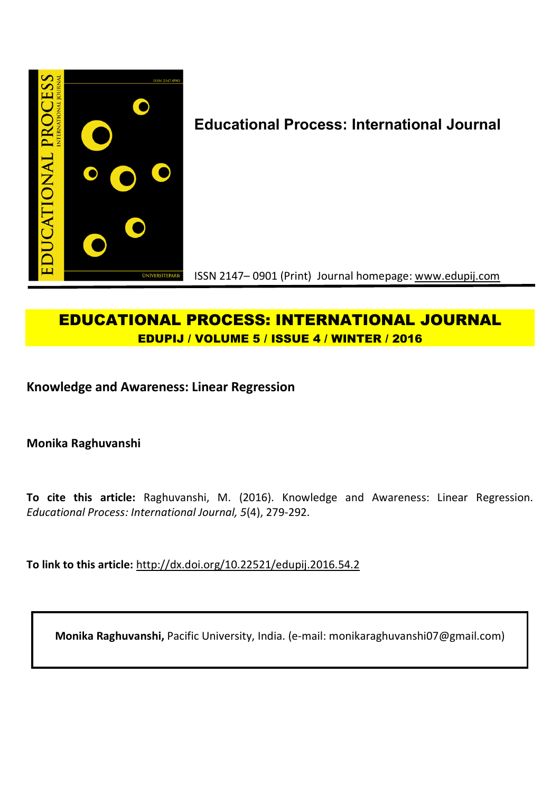

# **Educational Process: International Journal**

ISSN 2147– 0901 (Print) Journal homepage: www.edupij.com

## **EDUCATIONAL PROCESS: INTERNATIONAL JOURNAL EDUPIJ / VOLUME 5 / ISSUE 4 / WINTER / 2016**

**Knowledge and Awareness: Linear Regression**

**Monika Raghuvanshi**

**To cite this article:** Raghuvanshi, M. (2016). Knowledge and Awareness: Linear Regression. *Educational Process: International Journal, 5*(4), 279-292.

**To link to this article:** http://dx.doi.org/10.22521/edupij.2016.54.2

**Monika Raghuvanshi,** Pacific University, India. (e-mail: monikaraghuvanshi07@gmail.com)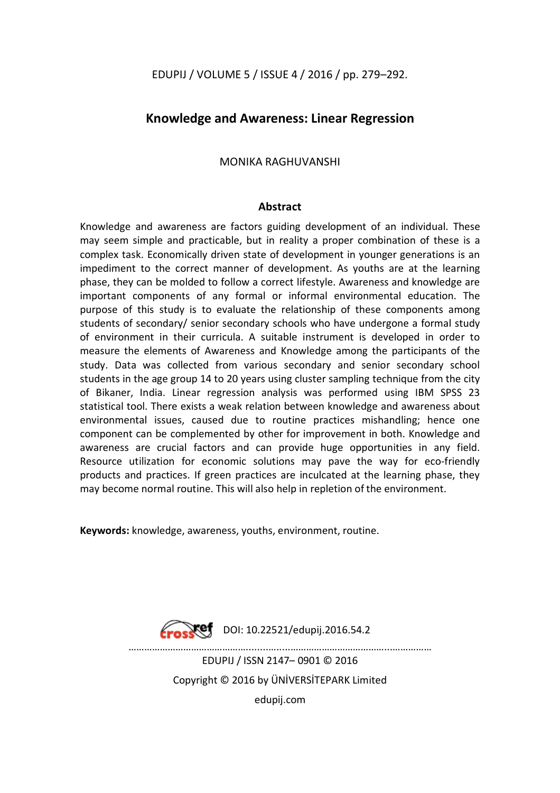## **Knowledge and Awareness: Linear Regression**

## MONIKA RAGHUVANSHI

#### **Abstract**

Knowledge and awareness are factors guiding development of an individual. These may seem simple and practicable, but in reality a proper combination of these is a complex task. Economically driven state of development in younger generations is an impediment to the correct manner of development. As youths are at the learning phase, they can be molded to follow a correct lifestyle. Awareness and knowledge are important components of any formal or informal environmental education. The purpose of this study is to evaluate the relationship of these components among students of secondary/ senior secondary schools who have undergone a formal study of environment in their curricula. A suitable instrument is developed in order to measure the elements of Awareness and Knowledge among the participants of the study. Data was collected from various secondary and senior secondary school students in the age group 14 to 20 years using cluster sampling technique from the city of Bikaner, India. Linear regression analysis was performed using IBM SPSS 23 statistical tool. There exists a weak relation between knowledge and awareness about environmental issues, caused due to routine practices mishandling; hence one component can be complemented by other for improvement in both. Knowledge and awareness are crucial factors and can provide huge opportunities in any field. Resource utilization for economic solutions may pave the way for eco-friendly products and practices. If green practices are inculcated at the learning phase, they may become normal routine. This will also help in repletion of the environment.

**Keywords:** knowledge, awareness, youths, environment, routine.



 $\sqrt{\text{ref}}$  DOI: 10.22521/edupij.2016.54.2

 $\mathcal{L}^{\text{max}}$ EDUPIJ / ISSN 2147– 0901 © 2016 Copyright © 2016 by ÜNİVERSİTEPARK Limited edupij.com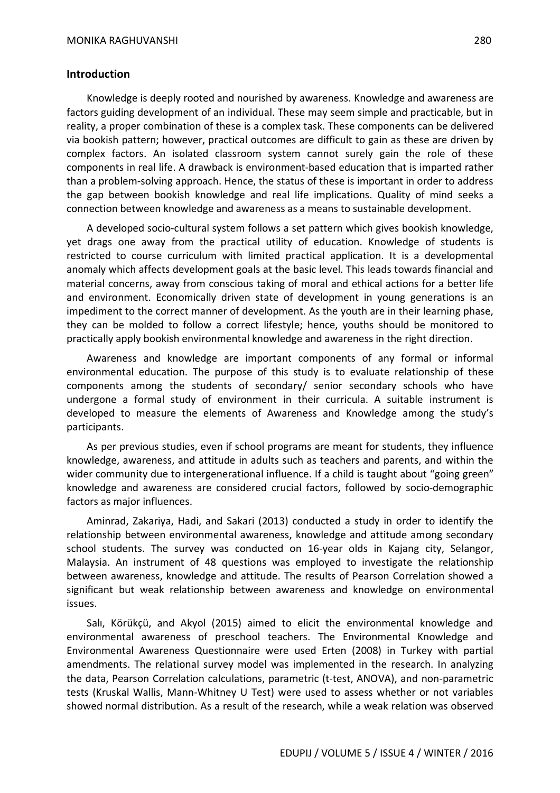#### **Introduction**

Knowledge is deeply rooted and nourished by awareness. Knowledge and awareness are factors guiding development of an individual. These may seem simple and practicable, but in reality, a proper combination of these is a complex task. These components can be delivered via bookish pattern; however, practical outcomes are difficult to gain as these are driven by complex factors. An isolated classroom system cannot surely gain the role of these components in real life. A drawback is environment-based education that is imparted rather than a problem-solving approach. Hence, the status of these is important in order to address the gap between bookish knowledge and real life implications. Quality of mind seeks a connection between knowledge and awareness as a means to sustainable development.

A developed socio-cultural system follows a set pattern which gives bookish knowledge, yet drags one away from the practical utility of education. Knowledge of students is restricted to course curriculum with limited practical application. It is a developmental anomaly which affects development goals at the basic level. This leads towards financial and material concerns, away from conscious taking of moral and ethical actions for a better life and environment. Economically driven state of development in young generations is an impediment to the correct manner of development. As the youth are in their learning phase, they can be molded to follow a correct lifestyle; hence, youths should be monitored to practically apply bookish environmental knowledge and awareness in the right direction.

Awareness and knowledge are important components of any formal or informal environmental education. The purpose of this study is to evaluate relationship of these components among the students of secondary/ senior secondary schools who have undergone a formal study of environment in their curricula. A suitable instrument is developed to measure the elements of Awareness and Knowledge among the study's participants.

As per previous studies, even if school programs are meant for students, they influence knowledge, awareness, and attitude in adults such as teachers and parents, and within the wider community due to intergenerational influence. If a child is taught about "going green" knowledge and awareness are considered crucial factors, followed by socio-demographic factors as major influences.

Aminrad, Zakariya, Hadi, and Sakari (2013) conducted a study in order to identify the relationship between environmental awareness, knowledge and attitude among secondary school students. The survey was conducted on 16-year olds in Kajang city, Selangor, Malaysia. An instrument of 48 questions was employed to investigate the relationship between awareness, knowledge and attitude. The results of Pearson Correlation showed a significant but weak relationship between awareness and knowledge on environmental issues.

Salı, Körükçü, and Akyol (2015) aimed to elicit the environmental knowledge and environmental awareness of preschool teachers. The Environmental Knowledge and Environmental Awareness Questionnaire were used Erten (2008) in Turkey with partial amendments. The relational survey model was implemented in the research. In analyzing the data, Pearson Correlation calculations, parametric (t-test, ANOVA), and non-parametric tests (Kruskal Wallis, Mann-Whitney U Test) were used to assess whether or not variables showed normal distribution. As a result of the research, while a weak relation was observed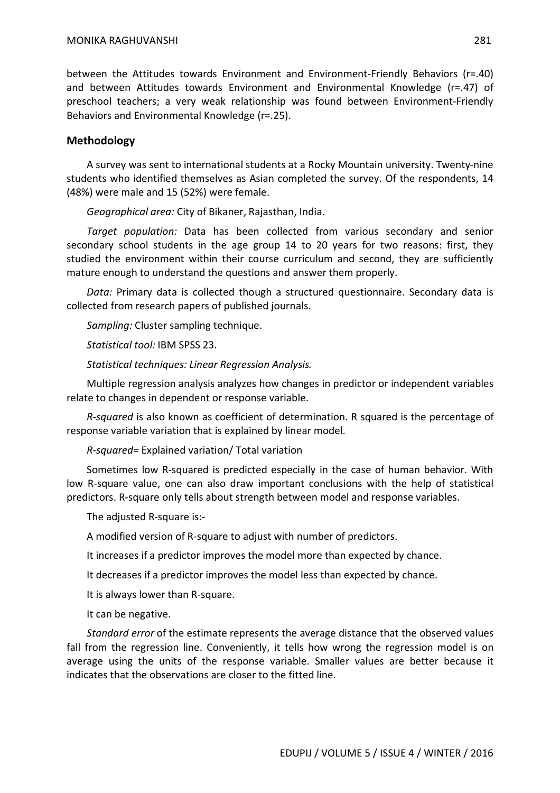between the Attitudes towards Environment and Environment-Friendly Behaviors (r=.40) and between Attitudes towards Environment and Environmental Knowledge (r=.47) of preschool teachers; a very weak relationship was found between Environment-Friendly Behaviors and Environmental Knowledge (r=.25).

#### **Methodology**

A survey was sent to international students at a Rocky Mountain university. Twenty-nine students who identified themselves as Asian completed the survey. Of the respondents, 14 (48%) were male and 15 (52%) were female.

*Geographical area:* City of Bikaner, Rajasthan, India.

*Target population:* Data has been collected from various secondary and senior secondary school students in the age group 14 to 20 years for two reasons: first, they studied the environment within their course curriculum and second, they are sufficiently mature enough to understand the questions and answer them properly.

*Data:* Primary data is collected though a structured questionnaire. Secondary data is collected from research papers of published journals.

*Sampling:* Cluster sampling technique.

*Statistical tool:* IBM SPSS 23.

*Statistical techniques: Linear Regression Analysis.*

Multiple regression analysis analyzes how changes in predictor or independent variables relate to changes in dependent or response variable.

*R-squared* is also known as coefficient of determination. R squared is the percentage of response variable variation that is explained by linear model.

*R-squared=* Explained variation/ Total variation

Sometimes low R-squared is predicted especially in the case of human behavior. With low R-square value, one can also draw important conclusions with the help of statistical predictors. R-square only tells about strength between model and response variables.

The adjusted R-square is:-

A modified version of R-square to adjust with number of predictors.

It increases if a predictor improves the model more than expected by chance.

It decreases if a predictor improves the model less than expected by chance.

It is always lower than R-square.

It can be negative.

*Standard error* of the estimate represents the average distance that the observed values fall from the regression line. Conveniently, it tells how wrong the regression model is on average using the units of the response variable. Smaller values are better because it indicates that the observations are closer to the fitted line.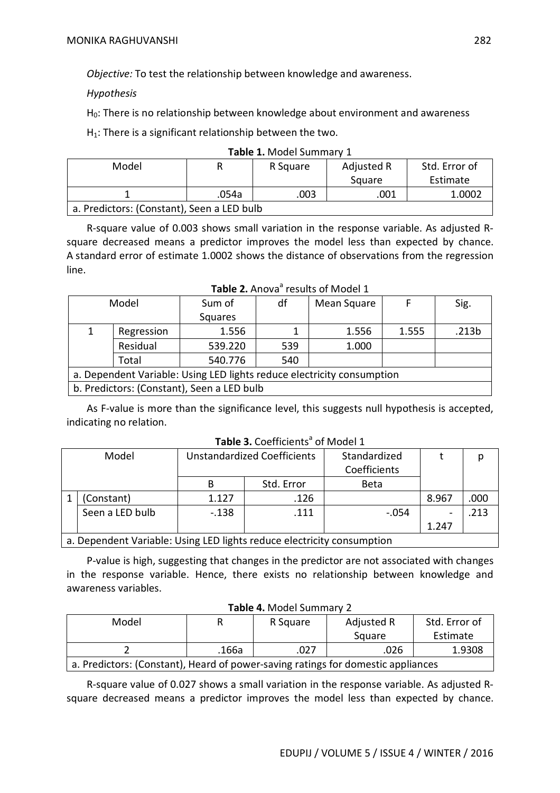*Objective:* To test the relationship between knowledge and awareness.

*Hypothesis*

H<sub>0</sub>: There is no relationship between knowledge about environment and awareness

 $H_1$ : There is a significant relationship between the two.

| Model |                                            | R Square | Adjusted R | Std. Error of |  |  |  |  |
|-------|--------------------------------------------|----------|------------|---------------|--|--|--|--|
|       |                                            | Square   |            | Estimate      |  |  |  |  |
|       | .054a                                      | .003     | .001       | 1.0002        |  |  |  |  |
|       | a. Predictors: (Constant), Seen a LED bulb |          |            |               |  |  |  |  |

|  |  | Table 1. Model Summary 1 |  |
|--|--|--------------------------|--|
|--|--|--------------------------|--|

R-square value of 0.003 shows small variation in the response variable. As adjusted Rsquare decreased means a predictor improves the model less than expected by chance. A standard error of estimate 1.0002 shows the distance of observations from the regression line.

| Model |                                                                        | Sum of  | df  | Mean Square |       | Sig.  |  |  |  |
|-------|------------------------------------------------------------------------|---------|-----|-------------|-------|-------|--|--|--|
|       |                                                                        | Squares |     |             |       |       |  |  |  |
|       | Regression                                                             | 1.556   |     | 1.556       | 1.555 | .213b |  |  |  |
|       | Residual                                                               | 539.220 | 539 | 1.000       |       |       |  |  |  |
|       | Total                                                                  | 540.776 | 540 |             |       |       |  |  |  |
|       | a. Dependent Variable: Using LED lights reduce electricity consumption |         |     |             |       |       |  |  |  |
|       | b. Predictors: (Constant), Seen a LED bulb                             |         |     |             |       |       |  |  |  |

## **Table 2.** Anova<sup>a</sup> results of Model 1

As F-value is more than the significance level, this suggests null hypothesis is accepted, indicating no relation.

| Model |                                                                        | <b>Unstandardized Coefficients</b> |            | Standardized |       |      |  |
|-------|------------------------------------------------------------------------|------------------------------------|------------|--------------|-------|------|--|
|       |                                                                        |                                    |            | Coefficients |       |      |  |
|       |                                                                        | В                                  | Std. Error | <b>Beta</b>  |       |      |  |
|       | (Constant)                                                             | 1.127                              | .126       |              | 8.967 | .000 |  |
|       | Seen a LED bulb                                                        | $-.138$                            | .111       | $-.054$      |       | .213 |  |
|       |                                                                        |                                    |            |              | 1.247 |      |  |
|       | a. Dependent Variable: Using LED lights reduce electricity consumption |                                    |            |              |       |      |  |

## **Table 3.** Coefficients<sup>a</sup> of Model 1

P-value is high, suggesting that changes in the predictor are not associated with changes in the response variable. Hence, there exists no relationship between knowledge and awareness variables.

| Model                                                                            |       | R Square | Adjusted R | Std. Error of |  |  |  |  |  |  |
|----------------------------------------------------------------------------------|-------|----------|------------|---------------|--|--|--|--|--|--|
|                                                                                  |       |          | Square     | Estimate      |  |  |  |  |  |  |
|                                                                                  | .166a | .027     | .026       | 1.9308        |  |  |  |  |  |  |
| a. Predictors: (Constant), Heard of power-saving ratings for domestic appliances |       |          |            |               |  |  |  |  |  |  |

#### **Table 4.** Model Summary 2

R-square value of 0.027 shows a small variation in the response variable. As adjusted Rsquare decreased means a predictor improves the model less than expected by chance.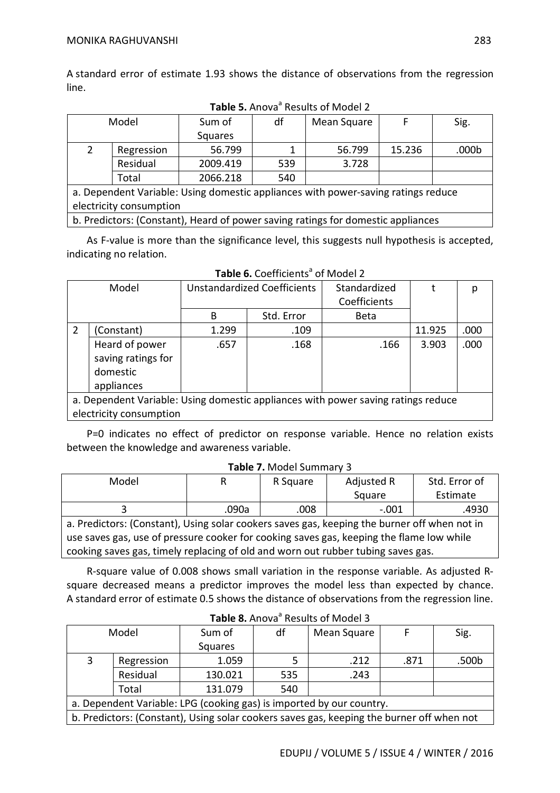A standard error of estimate 1.93 shows the distance of observations from the regression line.

| Model                                                                             |                         | Sum of   | df  | Mean Square |        | Sig.  |  |  |  |
|-----------------------------------------------------------------------------------|-------------------------|----------|-----|-------------|--------|-------|--|--|--|
|                                                                                   |                         | Squares  |     |             |        |       |  |  |  |
|                                                                                   | Regression              | 56.799   |     | 56.799      | 15.236 | .000b |  |  |  |
|                                                                                   | Residual                | 2009.419 | 539 | 3.728       |        |       |  |  |  |
|                                                                                   | Total                   | 2066.218 | 540 |             |        |       |  |  |  |
| a. Dependent Variable: Using domestic appliances with power-saving ratings reduce |                         |          |     |             |        |       |  |  |  |
|                                                                                   | electricity consumption |          |     |             |        |       |  |  |  |

Table 5. Anova<sup>a</sup> Results of Model 2

b. Predictors: (Constant), Heard of power saving ratings for domestic appliances

As F-value is more than the significance level, this suggests null hypothesis is accepted, indicating no relation.

|   | Model                                                                             | Unstandardized Coefficients |            | Standardized<br>Coefficients |        | р    |
|---|-----------------------------------------------------------------------------------|-----------------------------|------------|------------------------------|--------|------|
|   |                                                                                   | B                           | Std. Error | <b>Beta</b>                  |        |      |
| 2 | (Constant)                                                                        | 1.299                       | .109       |                              | 11.925 | .000 |
|   | Heard of power                                                                    | .657                        | .168       | .166                         | 3.903  | .000 |
|   | saving ratings for                                                                |                             |            |                              |        |      |
|   | domestic                                                                          |                             |            |                              |        |      |
|   | appliances                                                                        |                             |            |                              |        |      |
|   | a. Dependent Variable: Using domestic appliances with power saving ratings reduce |                             |            |                              |        |      |
|   | electricity consumption                                                           |                             |            |                              |        |      |

**Table 6.** Coefficients<sup>a</sup> of Model 2

P=0 indicates no effect of predictor on response variable. Hence no relation exists between the knowledge and awareness variable.

#### **Table 7.** Model Summary 3

| Model                                                                                        | R     | R Square | Adjusted R | Std. Error of |  |  |  |  |
|----------------------------------------------------------------------------------------------|-------|----------|------------|---------------|--|--|--|--|
|                                                                                              |       |          | Square     | Estimate      |  |  |  |  |
|                                                                                              | .090a | .008     | $-.001$    | .4930         |  |  |  |  |
| a. Predictors: (Constant), Using solar cookers saves gas, keeping the burner off when not in |       |          |            |               |  |  |  |  |
| use saves gas, use of pressure cooker for cooking saves gas, keeping the flame low while     |       |          |            |               |  |  |  |  |
| cooking saves gas, timely replacing of old and worn out rubber tubing saves gas.             |       |          |            |               |  |  |  |  |

R-square value of 0.008 shows small variation in the response variable. As adjusted Rsquare decreased means a predictor improves the model less than expected by chance. A standard error of estimate 0.5 shows the distance of observations from the regression line.

| Model |                                                                      | Sum of                                                                                    | df  | Mean Square |      | Sig.  |  |  |  |
|-------|----------------------------------------------------------------------|-------------------------------------------------------------------------------------------|-----|-------------|------|-------|--|--|--|
|       |                                                                      | Squares                                                                                   |     |             |      |       |  |  |  |
| 3     | Regression                                                           | 1.059                                                                                     |     | .212        | .871 | .500b |  |  |  |
|       | Residual                                                             | 130.021                                                                                   | 535 | .243        |      |       |  |  |  |
|       | Total                                                                | 131.079                                                                                   | 540 |             |      |       |  |  |  |
|       | a. Dependent Variable: LPG (cooking gas) is imported by our country. |                                                                                           |     |             |      |       |  |  |  |
|       |                                                                      | b. Predictors: (Constant), Using solar cookers saves gas, keeping the burner off when not |     |             |      |       |  |  |  |

**Table 8.** Anova<sup>a</sup> Results of Model 3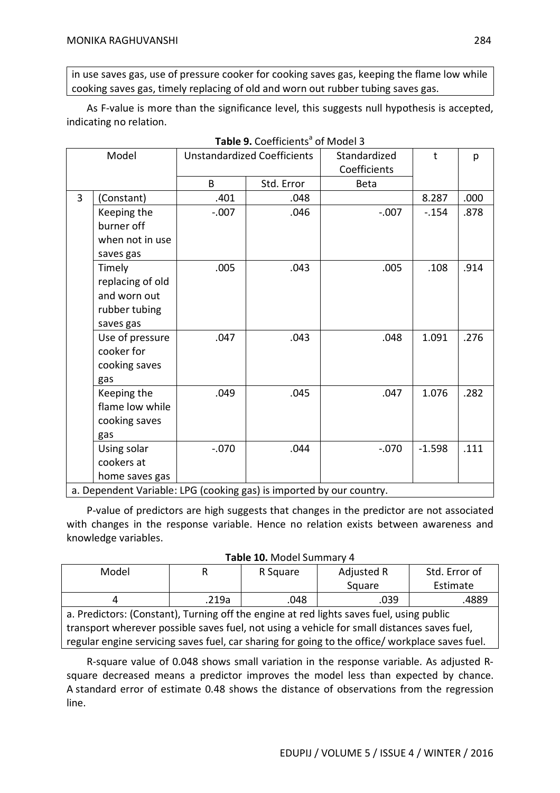in use saves gas, use of pressure cooker for cooking saves gas, keeping the flame low while cooking saves gas, timely replacing of old and worn out rubber tubing saves gas.

As F-value is more than the significance level, this suggests null hypothesis is accepted, indicating no relation.

|   | Model                                                                |         | <b>Unstandardized Coefficients</b> | Standardized | t        | p    |
|---|----------------------------------------------------------------------|---------|------------------------------------|--------------|----------|------|
|   |                                                                      |         |                                    | Coefficients |          |      |
|   |                                                                      | B       | Std. Error                         | <b>Beta</b>  |          |      |
| 3 | (Constant)                                                           | .401    | .048                               |              | 8.287    | .000 |
|   | Keeping the                                                          | $-.007$ | .046                               | $-.007$      | $-154$   | .878 |
|   | burner off                                                           |         |                                    |              |          |      |
|   | when not in use                                                      |         |                                    |              |          |      |
|   | saves gas                                                            |         |                                    |              |          |      |
|   | Timely                                                               | .005    | .043                               | .005         | .108     | .914 |
|   | replacing of old                                                     |         |                                    |              |          |      |
|   | and worn out                                                         |         |                                    |              |          |      |
|   | rubber tubing                                                        |         |                                    |              |          |      |
|   | saves gas                                                            |         |                                    |              |          |      |
|   | Use of pressure                                                      | .047    | .043                               | .048         | 1.091    | .276 |
|   | cooker for                                                           |         |                                    |              |          |      |
|   | cooking saves                                                        |         |                                    |              |          |      |
|   | gas                                                                  |         |                                    |              |          |      |
|   | Keeping the                                                          | .049    | .045                               | .047         | 1.076    | .282 |
|   | flame low while                                                      |         |                                    |              |          |      |
|   | cooking saves                                                        |         |                                    |              |          |      |
|   | gas                                                                  |         |                                    |              |          |      |
|   | Using solar                                                          | $-.070$ | .044                               | $-.070$      | $-1.598$ | .111 |
|   | cookers at                                                           |         |                                    |              |          |      |
|   | home saves gas                                                       |         |                                    |              |          |      |
|   | a. Dependent Variable: LPG (cooking gas) is imported by our country. |         |                                    |              |          |      |

**Table 9.** Coefficients<sup>a</sup> of Model 3

P-value of predictors are high suggests that changes in the predictor are not associated with changes in the response variable. Hence no relation exists between awareness and knowledge variables.

| Model                                                                                           | R     | R Square | Adjusted R | Std. Error of |  |  |  |
|-------------------------------------------------------------------------------------------------|-------|----------|------------|---------------|--|--|--|
|                                                                                                 |       |          | Square     | Estimate      |  |  |  |
| 4                                                                                               | .219a | .048     | .039       | .4889         |  |  |  |
| a. Predictors: (Constant), Turning off the engine at red lights saves fuel, using public        |       |          |            |               |  |  |  |
| transport wherever possible saves fuel, not using a vehicle for small distances saves fuel,     |       |          |            |               |  |  |  |
| regular engine servicing saves fuel, car sharing for going to the office/ workplace saves fuel. |       |          |            |               |  |  |  |
|                                                                                                 |       |          |            |               |  |  |  |

#### **Table 10.** Model Summary 4

R-square value of 0.048 shows small variation in the response variable. As adjusted Rsquare decreased means a predictor improves the model less than expected by chance. A standard error of estimate 0.48 shows the distance of observations from the regression line.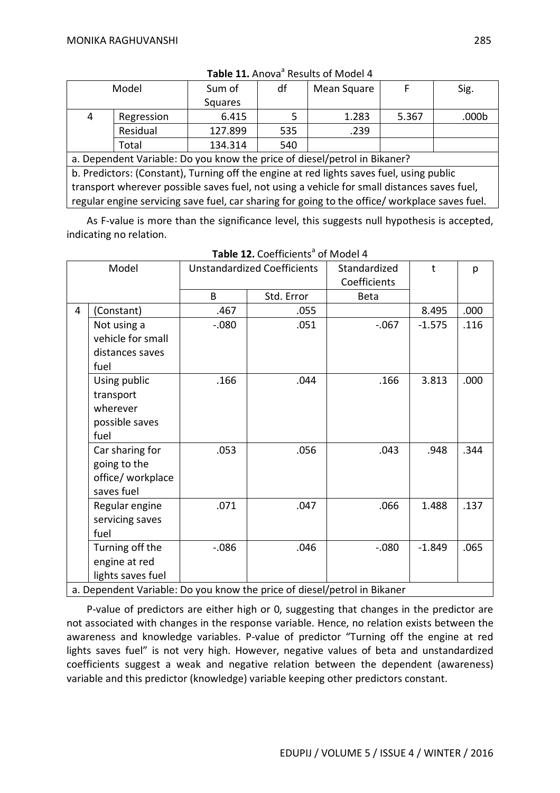| Model                                                                                       |                                                                                               | Sum of  | df  | Mean Square | F     | Sig.  |  |  |
|---------------------------------------------------------------------------------------------|-----------------------------------------------------------------------------------------------|---------|-----|-------------|-------|-------|--|--|
|                                                                                             |                                                                                               | Squares |     |             |       |       |  |  |
| 4                                                                                           | Regression                                                                                    | 6.415   | 5.  | 1.283       | 5.367 | .000b |  |  |
|                                                                                             | Residual                                                                                      | 127.899 | 535 | .239        |       |       |  |  |
|                                                                                             | Total                                                                                         | 134.314 | 540 |             |       |       |  |  |
|                                                                                             | a. Dependent Variable: Do you know the price of diesel/petrol in Bikaner?                     |         |     |             |       |       |  |  |
|                                                                                             | b. Predictors: (Constant), Turning off the engine at red lights saves fuel, using public      |         |     |             |       |       |  |  |
| transport wherever possible saves fuel, not using a vehicle for small distances saves fuel, |                                                                                               |         |     |             |       |       |  |  |
|                                                                                             | regular engine servicing save fuel, car sharing for going to the office/workplace saves fuel. |         |     |             |       |       |  |  |

Table 11. Anova<sup>a</sup> Results of Model 4

As F-value is more than the significance level, this suggests null hypothesis is accepted, indicating no relation.

| Model |                   | <b>Unstandardized Coefficients</b> |            | Standardized<br>Coefficients                                             | t        | p    |
|-------|-------------------|------------------------------------|------------|--------------------------------------------------------------------------|----------|------|
|       |                   | B                                  | Std. Error | <b>Beta</b>                                                              |          |      |
| 4     | (Constant)        | .467                               | .055       |                                                                          | 8.495    | .000 |
|       | Not using a       | $-.080$                            | .051       | $-.067$                                                                  | $-1.575$ | .116 |
|       | vehicle for small |                                    |            |                                                                          |          |      |
|       | distances saves   |                                    |            |                                                                          |          |      |
| fuel  |                   |                                    |            |                                                                          |          |      |
|       | Using public      | .166                               | .044       | .166                                                                     | 3.813    | .000 |
|       | transport         |                                    |            |                                                                          |          |      |
|       | wherever          |                                    |            |                                                                          |          |      |
|       | possible saves    |                                    |            |                                                                          |          |      |
| fuel  |                   |                                    |            |                                                                          |          |      |
|       | Car sharing for   | .053                               | .056       | .043                                                                     | .948     | .344 |
|       | going to the      |                                    |            |                                                                          |          |      |
|       | office/ workplace |                                    |            |                                                                          |          |      |
|       | saves fuel        |                                    |            |                                                                          |          |      |
|       | Regular engine    | .071                               | .047       | .066                                                                     | 1.488    | .137 |
| fuel  | servicing saves   |                                    |            |                                                                          |          |      |
|       | Turning off the   | $-0.086$                           | .046       | $-080$                                                                   | $-1.849$ | .065 |
|       | engine at red     |                                    |            |                                                                          |          |      |
|       | lights saves fuel |                                    |            |                                                                          |          |      |
|       |                   |                                    |            | a. Dependent Variable: Do you know the price of diesel/petrol in Bikaner |          |      |

Table 12. Coefficients<sup>a</sup> of Model 4

P-value of predictors are either high or 0, suggesting that changes in the predictor are not associated with changes in the response variable. Hence, no relation exists between the awareness and knowledge variables. P-value of predictor "Turning off the engine at red lights saves fuel" is not very high. However, negative values of beta and unstandardized coefficients suggest a weak and negative relation between the dependent (awareness) variable and this predictor (knowledge) variable keeping other predictors constant.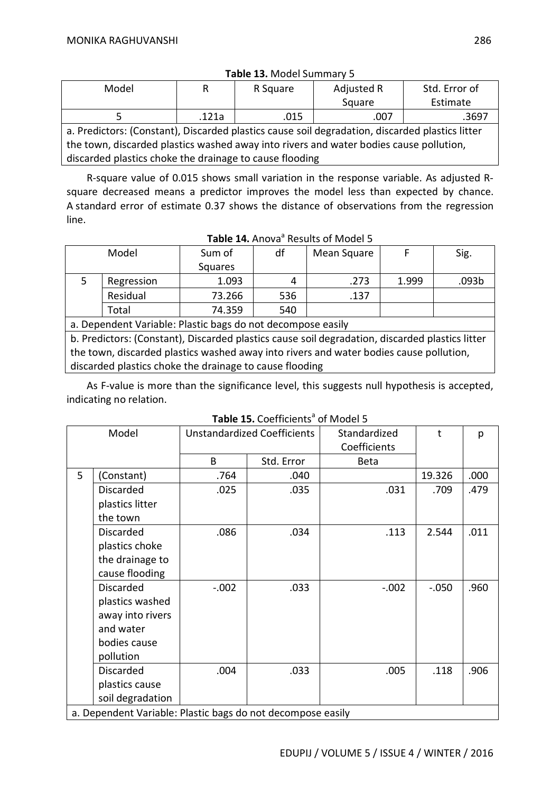| Model                                                                                           | R     | R Square | Adjusted R | Std. Error of |  |  |  |
|-------------------------------------------------------------------------------------------------|-------|----------|------------|---------------|--|--|--|
|                                                                                                 |       |          | Square     | Estimate      |  |  |  |
|                                                                                                 | .121a | .015     | .007       | .3697         |  |  |  |
| a. Predictors: (Constant), Discarded plastics cause soil degradation, discarded plastics litter |       |          |            |               |  |  |  |
| the town, discarded plastics washed away into rivers and water bodies cause pollution,          |       |          |            |               |  |  |  |
| discarded plastics choke the drainage to cause flooding                                         |       |          |            |               |  |  |  |

#### **Table 13.** Model Summary 5

R-square value of 0.015 shows small variation in the response variable. As adjusted Rsquare decreased means a predictor improves the model less than expected by chance. A standard error of estimate 0.37 shows the distance of observations from the regression line.

|                                                            | Model      | Sum of  | df  | Mean Square |       | Sig.  |  |  |
|------------------------------------------------------------|------------|---------|-----|-------------|-------|-------|--|--|
|                                                            |            | Squares |     |             |       |       |  |  |
|                                                            | Regression | 1.093   | 4   | .273        | 1.999 | .093b |  |  |
|                                                            | Residual   | 73.266  | 536 | .137        |       |       |  |  |
|                                                            | Total      | 74.359  | 540 |             |       |       |  |  |
| a Dependent Variable: Plastic bags de not desempese easily |            |         |     |             |       |       |  |  |

a. Dependent Variable: Plastic bags do not decompose easily

b. Predictors: (Constant), Discarded plastics cause soil degradation, discarded plastics litter the town, discarded plastics washed away into rivers and water bodies cause pollution, discarded plastics choke the drainage to cause flooding

As F-value is more than the significance level, this suggests null hypothesis is accepted, indicating no relation.

Table 15. Coefficients<sup>a</sup> of Model 5

| Model |                                                             | <b>Unstandardized Coefficients</b> |            | Standardized<br>Coefficients | $\mathsf{t}$ | р    |
|-------|-------------------------------------------------------------|------------------------------------|------------|------------------------------|--------------|------|
|       |                                                             | B                                  | Std. Error | <b>Beta</b>                  |              |      |
| 5     | (Constant)                                                  | .764                               | .040       |                              | 19.326       | .000 |
|       | <b>Discarded</b>                                            | .025                               | .035       | .031                         | .709         | .479 |
|       | plastics litter                                             |                                    |            |                              |              |      |
|       | the town                                                    |                                    |            |                              |              |      |
|       | Discarded                                                   | .086                               | .034       | .113                         | 2.544        | .011 |
|       | plastics choke                                              |                                    |            |                              |              |      |
|       | the drainage to                                             |                                    |            |                              |              |      |
|       | cause flooding                                              |                                    |            |                              |              |      |
|       | <b>Discarded</b>                                            | $-.002$                            | .033       | $-.002$                      | $-.050$      | .960 |
|       | plastics washed                                             |                                    |            |                              |              |      |
|       | away into rivers                                            |                                    |            |                              |              |      |
|       | and water                                                   |                                    |            |                              |              |      |
|       | bodies cause                                                |                                    |            |                              |              |      |
|       | pollution                                                   |                                    |            |                              |              |      |
|       | <b>Discarded</b>                                            | .004                               | .033       | .005                         | .118         | .906 |
|       | plastics cause                                              |                                    |            |                              |              |      |
|       | soil degradation                                            |                                    |            |                              |              |      |
|       | a. Dependent Variable: Plastic bags do not decompose easily |                                    |            |                              |              |      |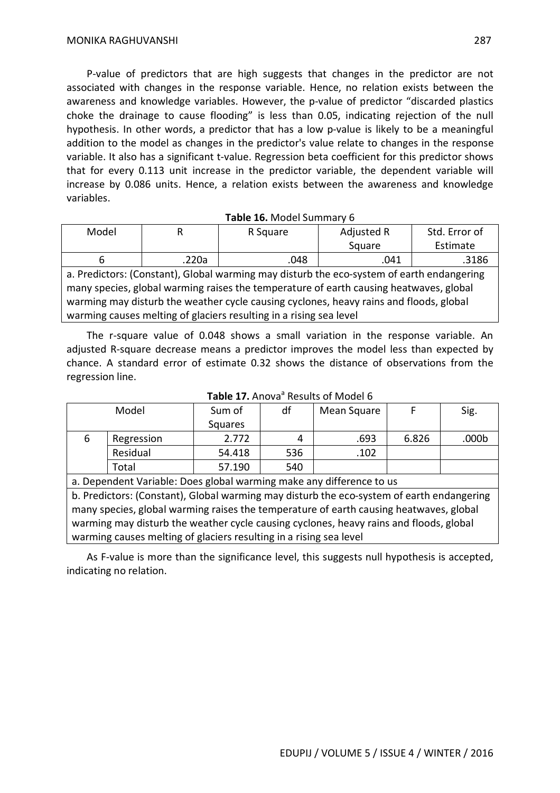P-value of predictors that are high suggests that changes in the predictor are not associated with changes in the response variable. Hence, no relation exists between the awareness and knowledge variables. However, the p-value of predictor "discarded plastics choke the drainage to cause flooding" is less than 0.05, indicating rejection of the null hypothesis. In other words, a predictor that has a low p-value is likely to be a meaningful addition to the model as changes in the predictor's value relate to changes in the response variable. It also has a significant t-value. Regression beta coefficient for this predictor shows that for every 0.113 unit increase in the predictor variable, the dependent variable will increase by 0.086 units. Hence, a relation exists between the awareness and knowledge variables.

#### **Table 16.** Model Summary 6

| Model |       | R Square | Adjusted R | Std. Error of |  |
|-------|-------|----------|------------|---------------|--|
|       |       |          | Square     | Estimate      |  |
|       | .220a | .048     | .041       | .3186         |  |

a. Predictors: (Constant), Global warming may disturb the eco-system of earth endangering many species, global warming raises the temperature of earth causing heatwaves, global warming may disturb the weather cycle causing cyclones, heavy rains and floods, global warming causes melting of glaciers resulting in a rising sea level

The r-square value of 0.048 shows a small variation in the response variable. An adjusted R-square decrease means a predictor improves the model less than expected by chance. A standard error of estimate 0.32 shows the distance of observations from the regression line.

| Model |            | Sum of  | df  | Mean Square |       | Sig.              |
|-------|------------|---------|-----|-------------|-------|-------------------|
|       |            | Squares |     |             |       |                   |
| 6     | Regression | 2.772   | 4   | .693        | 6.826 | .000 <sub>b</sub> |
|       | Residual   | 54.418  | 536 | .102        |       |                   |
|       | Total      | 57.190  | 540 |             |       |                   |

## Table 17. Anova<sup>a</sup> Results of Model 6

a. Dependent Variable: Does global warming make any difference to us

b. Predictors: (Constant), Global warming may disturb the eco-system of earth endangering many species, global warming raises the temperature of earth causing heatwaves, global warming may disturb the weather cycle causing cyclones, heavy rains and floods, global warming causes melting of glaciers resulting in a rising sea level

As F-value is more than the significance level, this suggests null hypothesis is accepted, indicating no relation.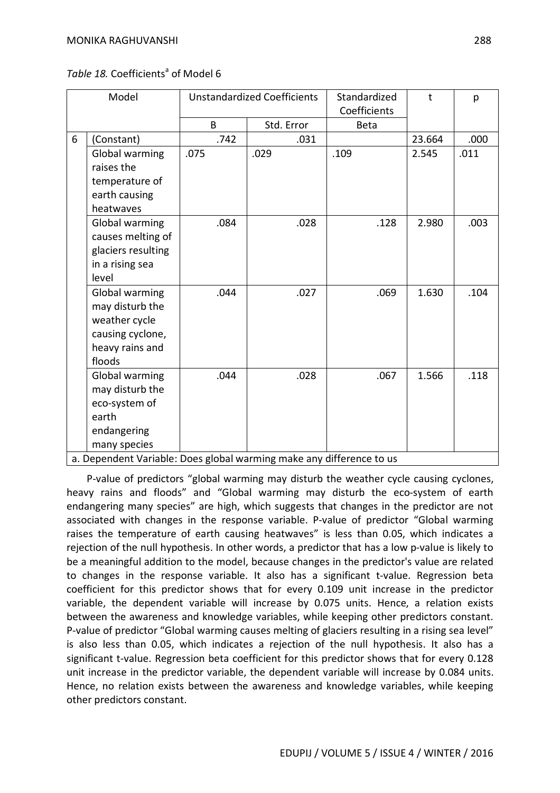|  | Table 18. Coefficients <sup>a</sup> of Model 6 |  |
|--|------------------------------------------------|--|
|--|------------------------------------------------|--|

| Model                                                                                                                                                              | <b>Unstandardized Coefficients</b> |            | Standardized<br>Coefficients | $\mathbf t$ | p    |
|--------------------------------------------------------------------------------------------------------------------------------------------------------------------|------------------------------------|------------|------------------------------|-------------|------|
|                                                                                                                                                                    | B                                  | Std. Error | <b>Beta</b>                  |             |      |
| 6<br>(Constant)                                                                                                                                                    | .742                               | .031       |                              | 23.664      | .000 |
| Global warming<br>raises the<br>temperature of<br>earth causing<br>heatwaves                                                                                       | .075                               | .029       | .109                         | 2.545       | .011 |
| Global warming<br>causes melting of<br>glaciers resulting<br>in a rising sea<br>level                                                                              | .084                               | .028       | .128                         | 2.980       | .003 |
| Global warming<br>may disturb the<br>weather cycle<br>causing cyclone,<br>heavy rains and<br>floods                                                                | .044                               | .027       | .069                         | 1.630       | .104 |
| Global warming<br>may disturb the<br>eco-system of<br>earth<br>endangering<br>many species<br>a. Dependent Variable: Does global warming make any difference to us | .044                               | .028       | .067                         | 1.566       | .118 |

P-value of predictors "global warming may disturb the weather cycle causing cyclones, heavy rains and floods" and "Global warming may disturb the eco-system of earth endangering many species" are high, which suggests that changes in the predictor are not associated with changes in the response variable. P-value of predictor "Global warming raises the temperature of earth causing heatwaves" is less than 0.05, which indicates a rejection of the null hypothesis. In other words, a predictor that has a low p-value is likely to be a meaningful addition to the model, because changes in the predictor's value are related to changes in the response variable. It also has a significant t-value. Regression beta coefficient for this predictor shows that for every 0.109 unit increase in the predictor

variable, the dependent variable will increase by 0.075 units. Hence, a relation exists between the awareness and knowledge variables, while keeping other predictors constant. P-value of predictor "Global warming causes melting of glaciers resulting in a rising sea level" is also less than 0.05, which indicates a rejection of the null hypothesis. It also has a significant t-value. Regression beta coefficient for this predictor shows that for every 0.128 unit increase in the predictor variable, the dependent variable will increase by 0.084 units. Hence, no relation exists between the awareness and knowledge variables, while keeping other predictors constant.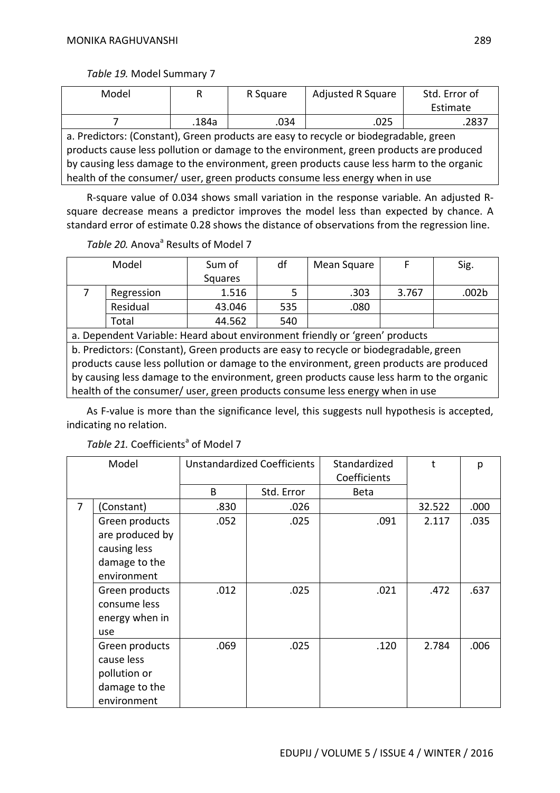*Table 19.* Model Summary 7

| Model                                                                                    | R     | R Square | Adjusted R Square | Std. Error of |  |  |
|------------------------------------------------------------------------------------------|-------|----------|-------------------|---------------|--|--|
|                                                                                          |       |          |                   | Estimate      |  |  |
|                                                                                          | .184a | .034     | .025              | .2837         |  |  |
| a. Predictors: (Constant), Green products are easy to recycle or biodegradable, green    |       |          |                   |               |  |  |
| products cause less pollution or damage to the environment, green products are produced  |       |          |                   |               |  |  |
| by causing less damage to the environment, green products cause less harm to the organic |       |          |                   |               |  |  |
| health of the consumer/ user, green products consume less energy when in use             |       |          |                   |               |  |  |

R-square value of 0.034 shows small variation in the response variable. An adjusted Rsquare decrease means a predictor improves the model less than expected by chance. A standard error of estimate 0.28 shows the distance of observations from the regression line.

Table 20. Anova<sup>a</sup> Results of Model 7

| Model                                                                                    |                                                                                       | Sum of  | df  | Mean Square | F     | Sig.  |  |
|------------------------------------------------------------------------------------------|---------------------------------------------------------------------------------------|---------|-----|-------------|-------|-------|--|
|                                                                                          |                                                                                       | Squares |     |             |       |       |  |
|                                                                                          | Regression                                                                            | 1.516   | 5   | .303        | 3.767 | .002b |  |
|                                                                                          | Residual                                                                              | 43.046  | 535 | .080        |       |       |  |
|                                                                                          | Total                                                                                 | 44.562  | 540 |             |       |       |  |
|                                                                                          | a. Dependent Variable: Heard about environment friendly or 'green' products           |         |     |             |       |       |  |
|                                                                                          | b. Predictors: (Constant), Green products are easy to recycle or biodegradable, green |         |     |             |       |       |  |
| products cause less pollution or damage to the environment, green products are produced  |                                                                                       |         |     |             |       |       |  |
| by causing less damage to the environment, green products cause less harm to the organic |                                                                                       |         |     |             |       |       |  |
| health of the consumer/ user, green products consume less energy when in use             |                                                                                       |         |     |             |       |       |  |

As F-value is more than the significance level, this suggests null hypothesis is accepted, indicating no relation.

| Model |                                                                              | <b>Unstandardized Coefficients</b> |            | Standardized<br>Coefficients | t      | р    |
|-------|------------------------------------------------------------------------------|------------------------------------|------------|------------------------------|--------|------|
|       |                                                                              | B.                                 | Std. Error | <b>Beta</b>                  |        |      |
| 7     | (Constant)                                                                   | .830                               | .026       |                              | 32.522 | .000 |
|       | Green products<br>are produced by<br>causing less                            | .052                               | .025       | .091                         | 2.117  | .035 |
|       | damage to the<br>environment                                                 |                                    |            |                              |        |      |
|       | Green products<br>consume less<br>energy when in<br>use                      | .012                               | .025       | .021                         | .472   | .637 |
|       | Green products<br>cause less<br>pollution or<br>damage to the<br>environment | .069                               | .025       | .120                         | 2.784  | .006 |

Table 21. Coefficients<sup>a</sup> of Model 7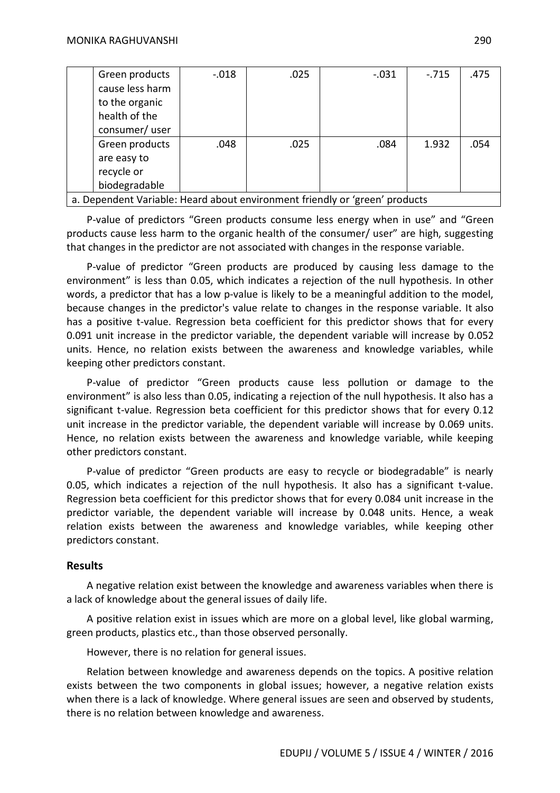|                                                                             | Green products  | $-0.018$ | .025 | $-.031$ | $-.715$ | .475 |  |  |
|-----------------------------------------------------------------------------|-----------------|----------|------|---------|---------|------|--|--|
|                                                                             | cause less harm |          |      |         |         |      |  |  |
|                                                                             | to the organic  |          |      |         |         |      |  |  |
|                                                                             | health of the   |          |      |         |         |      |  |  |
|                                                                             | consumer/user   |          |      |         |         |      |  |  |
|                                                                             | Green products  | .048     | .025 | .084    | 1.932   | .054 |  |  |
|                                                                             | are easy to     |          |      |         |         |      |  |  |
|                                                                             | recycle or      |          |      |         |         |      |  |  |
|                                                                             | biodegradable   |          |      |         |         |      |  |  |
| a. Dependent Variable: Heard about environment friendly or 'green' products |                 |          |      |         |         |      |  |  |

P-value of predictors "Green products consume less energy when in use" and "Green products cause less harm to the organic health of the consumer/ user" are high, suggesting that changes in the predictor are not associated with changes in the response variable.

P-value of predictor "Green products are produced by causing less damage to the environment" is less than 0.05, which indicates a rejection of the null hypothesis. In other words, a predictor that has a low p-value is likely to be a meaningful addition to the model, because changes in the predictor's value relate to changes in the response variable. It also has a positive t-value. Regression beta coefficient for this predictor shows that for every 0.091 unit increase in the predictor variable, the dependent variable will increase by 0.052 units. Hence, no relation exists between the awareness and knowledge variables, while keeping other predictors constant.

P-value of predictor "Green products cause less pollution or damage to the environment" is also less than 0.05, indicating a rejection of the null hypothesis. It also has a significant t-value. Regression beta coefficient for this predictor shows that for every 0.12 unit increase in the predictor variable, the dependent variable will increase by 0.069 units. Hence, no relation exists between the awareness and knowledge variable, while keeping other predictors constant.

P-value of predictor "Green products are easy to recycle or biodegradable" is nearly 0.05, which indicates a rejection of the null hypothesis. It also has a significant t-value. Regression beta coefficient for this predictor shows that for every 0.084 unit increase in the predictor variable, the dependent variable will increase by 0.048 units. Hence, a weak relation exists between the awareness and knowledge variables, while keeping other predictors constant.

#### **Results**

A negative relation exist between the knowledge and awareness variables when there is a lack of knowledge about the general issues of daily life.

A positive relation exist in issues which are more on a global level, like global warming, green products, plastics etc., than those observed personally.

However, there is no relation for general issues.

Relation between knowledge and awareness depends on the topics. A positive relation exists between the two components in global issues; however, a negative relation exists when there is a lack of knowledge. Where general issues are seen and observed by students, there is no relation between knowledge and awareness.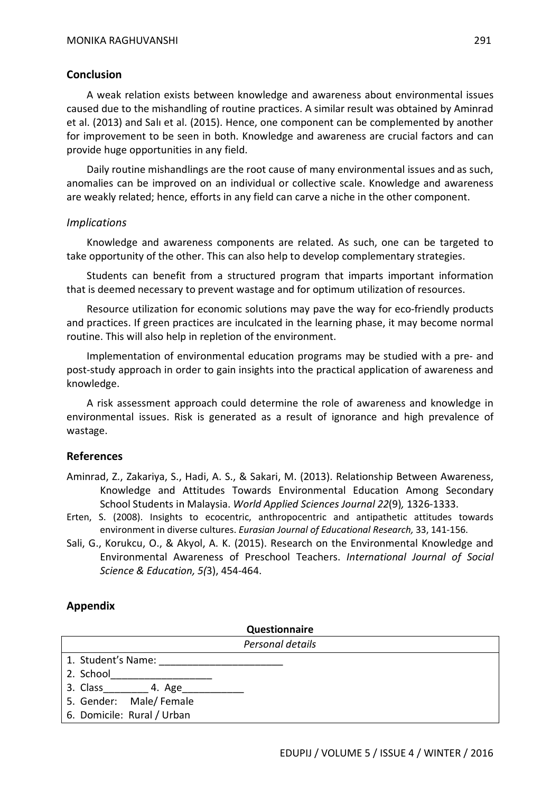### **Conclusion**

A weak relation exists between knowledge and awareness about environmental issues caused due to the mishandling of routine practices. A similar result was obtained by Aminrad et al. (2013) and Salı et al. (2015). Hence, one component can be complemented by another for improvement to be seen in both. Knowledge and awareness are crucial factors and can provide huge opportunities in any field.

Daily routine mishandlings are the root cause of many environmental issues and as such, anomalies can be improved on an individual or collective scale. Knowledge and awareness are weakly related; hence, efforts in any field can carve a niche in the other component.

#### *Implications*

Knowledge and awareness components are related. As such, one can be targeted to take opportunity of the other. This can also help to develop complementary strategies.

Students can benefit from a structured program that imparts important information that is deemed necessary to prevent wastage and for optimum utilization of resources.

Resource utilization for economic solutions may pave the way for eco-friendly products and practices. If green practices are inculcated in the learning phase, it may become normal routine. This will also help in repletion of the environment.

Implementation of environmental education programs may be studied with a pre- and post-study approach in order to gain insights into the practical application of awareness and knowledge.

A risk assessment approach could determine the role of awareness and knowledge in environmental issues. Risk is generated as a result of ignorance and high prevalence of wastage.

## **References**

- Aminrad, Z., Zakariya, S., Hadi, A. S., & Sakari, M. (2013). Relationship Between Awareness, Knowledge and Attitudes Towards Environmental Education Among Secondary School Students in Malaysia. *World Applied Sciences Journal 22*(9)*,* 1326-1333.
- Erten, S. (2008). Insights to ecocentric, anthropocentric and antipathetic attitudes towards environment in diverse cultures. *Eurasian Journal of Educational Research,* 33, 141-156.
- Sali, G., Korukcu, O., & Akyol, A. K. (2015). Research on the Environmental Knowledge and Environmental Awareness of Preschool Teachers. *International Journal of Social Science & Education, 5(*3), 454-464.

## **Appendix**

| Questionnaire |  |
|---------------|--|
|               |  |

| Personal details           |  |  |  |  |  |
|----------------------------|--|--|--|--|--|
| 1. Student's Name:         |  |  |  |  |  |
| 2. School                  |  |  |  |  |  |
| 3. Class 4. Age            |  |  |  |  |  |
| 5. Gender: Male/Female     |  |  |  |  |  |
| 6. Domicile: Rural / Urban |  |  |  |  |  |